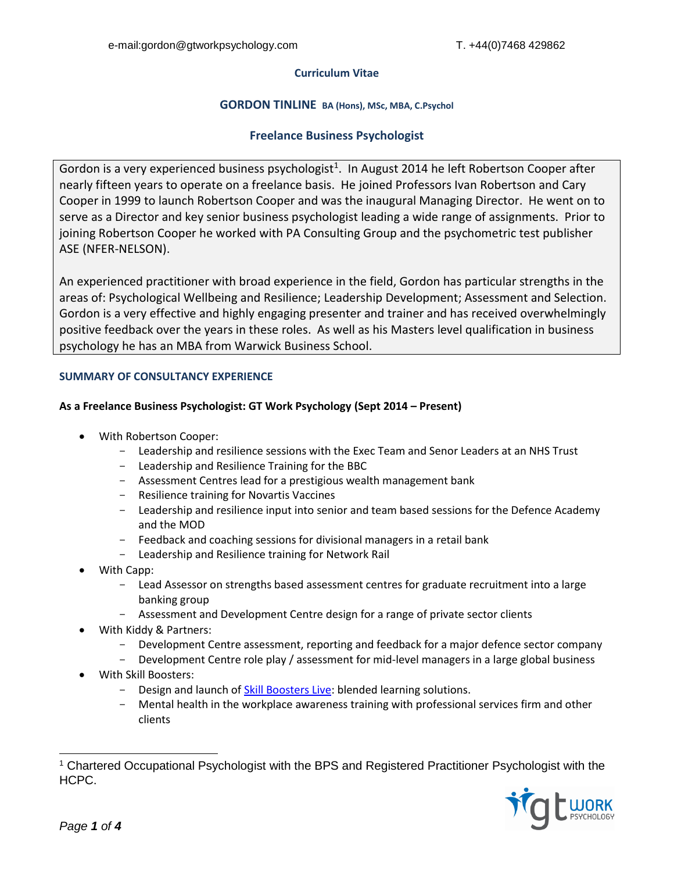### **Curriculum Vitae**

## **GORDON TINLINE BA (Hons), MSc, MBA, C.Psychol**

# **Freelance Business Psychologist**

Gordon is a very experienced business psychologist<sup>1</sup>. In August 2014 he left Robertson Cooper after nearly fifteen years to operate on a freelance basis. He joined Professors Ivan Robertson and Cary Cooper in 1999 to launch Robertson Cooper and was the inaugural Managing Director. He went on to serve as a Director and key senior business psychologist leading a wide range of assignments. Prior to joining Robertson Cooper he worked with PA Consulting Group and the psychometric test publisher ASE (NFER-NELSON).

An experienced practitioner with broad experience in the field, Gordon has particular strengths in the areas of: Psychological Wellbeing and Resilience; Leadership Development; Assessment and Selection. Gordon is a very effective and highly engaging presenter and trainer and has received overwhelmingly positive feedback over the years in these roles. As well as his Masters level qualification in business psychology he has an MBA from Warwick Business School.

## **SUMMARY OF CONSULTANCY EXPERIENCE**

### **As a Freelance Business Psychologist: GT Work Psychology (Sept 2014 – Present)**

- With Robertson Cooper:
	- Leadership and resilience sessions with the Exec Team and Senor Leaders at an NHS Trust
	- Leadership and Resilience Training for the BBC
	- Assessment Centres lead for a prestigious wealth management bank
	- Resilience training for Novartis Vaccines
	- Leadership and resilience input into senior and team based sessions for the Defence Academy and the MOD
	- Feedback and coaching sessions for divisional managers in a retail bank
	- Leadership and Resilience training for Network Rail
- With Capp:
	- Lead Assessor on strengths based assessment centres for graduate recruitment into a large banking group
	- Assessment and Development Centre design for a range of private sector clients
- With Kiddy & Partners:
	- Development Centre assessment, reporting and feedback for a major defence sector company
	- Development Centre role play / assessment for mid-level managers in a large global business
- With Skill Boosters:
	- Design and launch of **Skill Boosters Live:** blended learning solutions.
	- Mental health in the workplace awareness training with professional services firm and other clients

<sup>1</sup> Chartered Occupational Psychologist with the BPS and Registered Practitioner Psychologist with the HCPC.

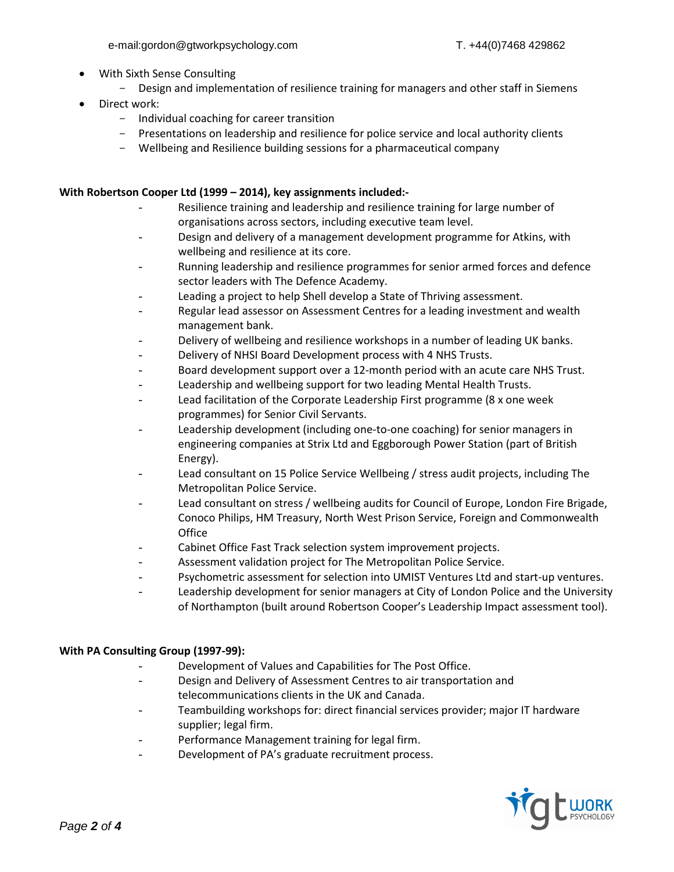- With Sixth Sense Consulting
	- Design and implementation of resilience training for managers and other staff in Siemens
- Direct work:
	- Individual coaching for career transition
	- Presentations on leadership and resilience for police service and local authority clients
	- Wellbeing and Resilience building sessions for a pharmaceutical company

## **With Robertson Cooper Ltd (1999 – 2014), key assignments included:-**

- Resilience training and leadership and resilience training for large number of organisations across sectors, including executive team level.
- Design and delivery of a management development programme for Atkins, with wellbeing and resilience at its core.
- Running leadership and resilience programmes for senior armed forces and defence sector leaders with The Defence Academy.
- Leading a project to help Shell develop a State of Thriving assessment.
- Regular lead assessor on Assessment Centres for a leading investment and wealth management bank.
- Delivery of wellbeing and resilience workshops in a number of leading UK banks.
- Delivery of NHSI Board Development process with 4 NHS Trusts.
- Board development support over a 12-month period with an acute care NHS Trust.
- Leadership and wellbeing support for two leading Mental Health Trusts.
- Lead facilitation of the Corporate Leadership First programme (8 x one week programmes) for Senior Civil Servants.
- Leadership development (including one-to-one coaching) for senior managers in engineering companies at Strix Ltd and Eggborough Power Station (part of British Energy).
- Lead consultant on 15 Police Service Wellbeing / stress audit projects, including The Metropolitan Police Service.
- Lead consultant on stress / wellbeing audits for Council of Europe, London Fire Brigade, Conoco Philips, HM Treasury, North West Prison Service, Foreign and Commonwealth **Office**
- Cabinet Office Fast Track selection system improvement projects.
- Assessment validation project for The Metropolitan Police Service.
- Psychometric assessment for selection into UMIST Ventures Ltd and start-up ventures.
- Leadership development for senior managers at City of London Police and the University of Northampton (built around Robertson Cooper's Leadership Impact assessment tool).

## **With PA Consulting Group (1997-99):**

- Development of Values and Capabilities for The Post Office.
- Design and Delivery of Assessment Centres to air transportation and telecommunications clients in the UK and Canada.
- Teambuilding workshops for: direct financial services provider; major IT hardware supplier; legal firm.
- Performance Management training for legal firm.
- Development of PA's graduate recruitment process.

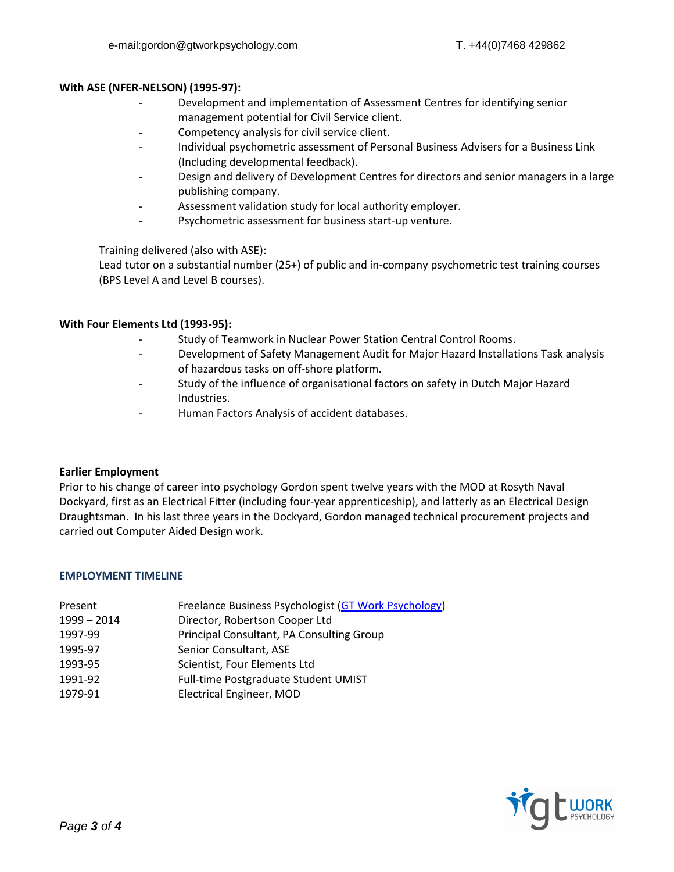#### **With ASE (NFER-NELSON) (1995-97):**

- Development and implementation of Assessment Centres for identifying senior management potential for Civil Service client.
- Competency analysis for civil service client.
- Individual psychometric assessment of Personal Business Advisers for a Business Link (Including developmental feedback).
- Design and delivery of Development Centres for directors and senior managers in a large publishing company.
- Assessment validation study for local authority employer.
- Psychometric assessment for business start-up venture.

Training delivered (also with ASE):

Lead tutor on a substantial number (25+) of public and in-company psychometric test training courses (BPS Level A and Level B courses).

## **With Four Elements Ltd (1993-95):**

- Study of Teamwork in Nuclear Power Station Central Control Rooms.
- Development of Safety Management Audit for Major Hazard Installations Task analysis of hazardous tasks on off-shore platform.
- Study of the influence of organisational factors on safety in Dutch Major Hazard Industries.
- Human Factors Analysis of accident databases.

## **Earlier Employment**

Prior to his change of career into psychology Gordon spent twelve years with the MOD at Rosyth Naval Dockyard, first as an Electrical Fitter (including four-year apprenticeship), and latterly as an Electrical Design Draughtsman. In his last three years in the Dockyard, Gordon managed technical procurement projects and carried out Computer Aided Design work.

#### **EMPLOYMENT TIMELINE**

| Present     | Freelance Business Psychologist (GT Work Psychology) |
|-------------|------------------------------------------------------|
| 1999 - 2014 | Director, Robertson Cooper Ltd                       |
| 1997-99     | Principal Consultant, PA Consulting Group            |

- 1995-97 Senior Consultant, ASE
- 1993-95 Scientist, Four Elements Ltd
- 1991-92 Full-time Postgraduate Student UMIST
- 1979-91 Electrical Engineer, MOD